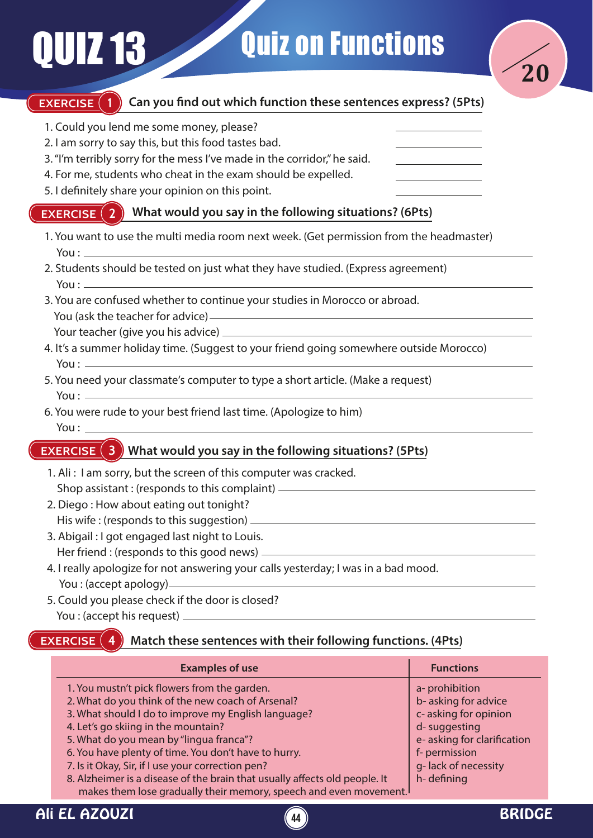

## **EXERCISE (1)**

### Can you find out which function these sentences express? (5Pts)

- 1. Could you lend me some money, please?
- 2. I am sorry to say this, but this food tastes bad.
- 3. "I'm terribly sorry for the mess I've made in the corridor," he said.
- 4. For me, students who cheat in the exam should be expelled.
- 5. I definitely share your opinion on this point.

#### **EXERCISE** (2) **What would you say in the following situations? (6Pts)**

- 1. You want to use the multi media room next week. (Get permission from the headmaster) You :
- 2. Students should be tested on just what they have studied. (Express agreement) You  $:=$
- 3. You are confused whether to continue your studies in Morocco or abroad. You (ask the teacher for advice) Your teacher (give you his advice)
- 4. It's a summer holiday time. (Suggest to your friend going somewhere outside Morocco) You  $:$   $-$
- 5. You need your classmate's computer to type a short article. (Make a request) You  $:$   $-$
- 6. You were rude to your best friend last time. (Apologize to him) You :

### **EXERCISE What would you say in the following situations? (5Pts)**

- 1. Ali : I am sorry, but the screen of this computer was cracked. Shop assistant : (responds to this complaint)
- 2. Diego : How about eating out tonight? His wife : (responds to this suggestion)
- 3. Abigail : I got engaged last night to Louis. Her friend : (responds to this good news)
- 4. I really apologize for not answering your calls yesterday; I was in a bad mood. You : (accept apology)
- 5. Could you please check if the door is closed? You : (accept his request)

#### **EXERCISE Match these sentences with their following functions. (4Pts)**

| <b>Examples of use</b>                                                     | <b>Functions</b>           |
|----------------------------------------------------------------------------|----------------------------|
| 1. You mustn't pick flowers from the garden.                               | a- prohibition             |
| 2. What do you think of the new coach of Arsenal?                          | b-asking for advice        |
| 3. What should I do to improve my English language?                        | c- asking for opinion      |
| 4. Let's go skiing in the mountain?                                        | d-suggesting               |
| 5. What do you mean by "lingua franca"?                                    | e-asking for clarification |
| 6. You have plenty of time. You don't have to hurry.                       | f- permission              |
| 7. Is it Okay, Sir, if I use your correction pen?                          | g-lack of necessity        |
| 8. Alzheimer is a disease of the brain that usually affects old people. It | h-defining                 |
| makes them lose gradually their memory, speech and even movement.          |                            |

**44**

# Ali EL AZOUZI DE CONTROLLER EN 1999 EN 1999 EN 1999 EN 1999 EN 1999 EN 1999 EN 1999 EN 1999 EN 1999 EN 1999 EN